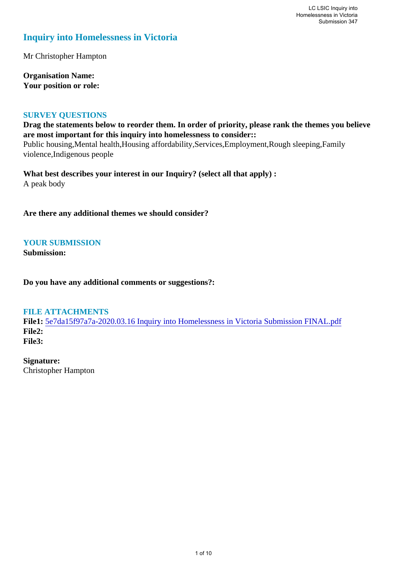### **Inquiry into Homelessness in Victoria**

Mr Christopher Hampton

**Organisation Name: Your position or role:** 

#### **SURVEY QUESTIONS**

**Drag the statements below to reorder them. In order of priority, please rank the themes you believe are most important for this inquiry into homelessness to consider::**  Public housing,Mental health,Housing affordability,Services,Employment,Rough sleeping,Family violence,Indigenous people

**What best describes your interest in our Inquiry? (select all that apply) :**  A peak body

**Are there any additional themes we should consider?**

#### **YOUR SUBMISSION**

**Submission:** 

**Do you have any additional comments or suggestions?:** 

#### **FILE ATTACHMENTS**

**File1:** [5e7da15f97a7a-2020.03.16 Inquiry into Homelessness in Victoria Submission FINAL.pdf](https://www.parliament.vic.gov.au/component/rsform/submission-view-file/86c3c75b9d3eed6694a0e5674e2c8008/f18a035313d9cbdc441539d80b25d93c?Itemid=527) **File2: File3:** 

**Signature:** Christopher Hampton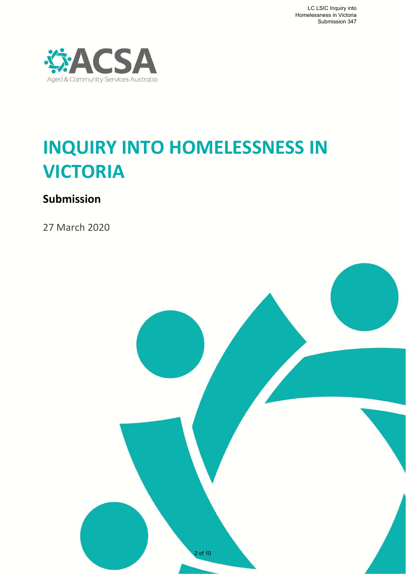

# **INQUIRY INTO HOMELESSNESS IN VICTORIA**

# **Submission**

27 March 2020

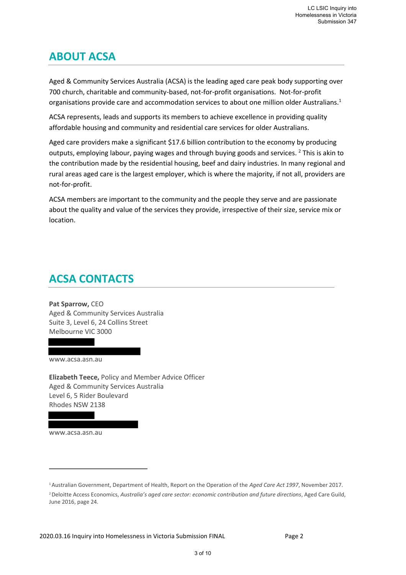## **ABOUT ACSA**

Aged & Community Services Australia (ACSA) is the leading aged care peak body supporting over 700 church, charitable and community-based, not-for-profit organisations. Not-for-profit organisations provide care and accommodation services to about one million older Australians.<sup>1</sup>

ACSA represents, leads and supports its members to achieve excellence in providing quality affordable housing and community and residential care services for older Australians.

Aged care providers make a significant \$17.6 billion contribution to the economy by producing outputs, employing labour, paying wages and through buying goods and services. <sup>2</sup> This is akin to the contribution made by the residential housing, beef and dairy industries. In many regional and rural areas aged care is the largest employer, which is where the majority, if not all, providers are not-for-profit.

ACSA members are important to the community and the people they serve and are passionate about the quality and value of the services they provide, irrespective of their size, service mix or location.

# **ACSA CONTACTS**

**Pat Sparrow,** CEO Aged & Community Services Australia Suite 3, Level 6, 24 Collins Street Melbourne VIC 3000

www.acsa.asn.au

**Elizabeth Teece,** Policy and Member Advice Officer Aged & Community Services Australia Level 6, 5 Rider Boulevard Rhodes NSW 2138

[www.acsa.asn.au](http://www.acsa.asn.au/)

<sup>1</sup>Australian Government, Department of Health, Report on the Operation of the *Aged Care Act 1997*, November 2017.

<sup>2</sup>Deloitte Access Economics, *Australia's aged care sector: economic contribution and future directions*, Aged Care Guild, June 2016, page 24.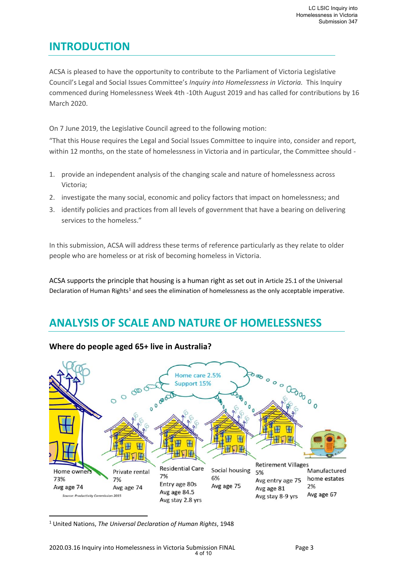### **INTRODUCTION**

ACSA is pleased to have the opportunity to contribute to the Parliament of Victoria Legislative Council's Legal and Social Issues Committee's *Inquiry into Homelessness in Victoria.* This Inquiry commenced during Homelessness Week 4th -10th August 2019 and has called for contributions by 16 March 2020.

On 7 June 2019, the Legislative Council agreed to the following motion:

"That this House requires the Legal and Social Issues Committee to inquire into, consider and report, within 12 months, on the state of homelessness in Victoria and in particular, the Committee should -

- 1. provide an independent analysis of the changing scale and nature of homelessness across Victoria;
- 2. investigate the many social, economic and policy factors that impact on homelessness; and
- 3. identify policies and practices from all levels of government that have a bearing on delivering services to the homeless."

In this submission, ACSA will address these terms of reference particularly as they relate to older people who are homeless or at risk of becoming homeless in Victoria.

ACSA supports the principle that housing is a human right as set out in Article 25.1 of the Universal Declaration of Human Rights<sup>1</sup> and sees the elimination of homelessness as the only acceptable imperative.

### **ANALYSIS OF SCALE AND NATURE OF HOMELESSNESS**



#### **Where do people aged 65+ live in Australia?**

<sup>1</sup> United Nations, *The Universal Declaration of Human Rights*, 1948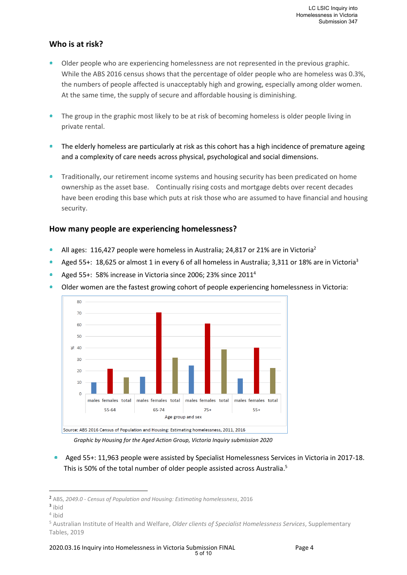#### **Who is at risk?**

- $\hat{\mathbf{r}}$ Older people who are experiencing homelessness are not represented in the previous graphic. While the ABS 2016 census shows that the percentage of older people who are homeless was 0.3%, the numbers of people affected is unacceptably high and growing, especially among older women. At the same time, the supply of secure and affordable housing is diminishing.
- $\hat{\mathbf{n}}$ The group in the graphic most likely to be at risk of becoming homeless is older people living in private rental.
- $\hat{\mathbf{n}}$ The elderly homeless are particularly at risk as this cohort has a high incidence of premature ageing and a complexity of care needs across physical, psychological and social dimensions.
- Traditionally, our retirement income systems and housing security has been predicated on home  $\hat{\mathbf{n}}$ ownership as the asset base. Continually rising costs and mortgage debts over recent decades have been eroding this base which puts at risk those who are assumed to have financial and housing security.

#### **How many people are experiencing homelessness?**

- $\hat{\mathbf{r}}$ All ages: 116,427 people were homeless in Australia; 24,817 or 21% are in Victoria<sup>2</sup>
- Aged 55+: 18,625 or almost 1 in every 6 of all homeless in Australia; 3,311 or 18% are in Victoria<sup>3</sup>  $\ddot{\bullet}$
- Aged 55+: 58% increase in Victoria since 2006; 23% since 2011<sup>4</sup>  $\triangle$
- $\ddot{\bullet}$ Older women are the fastest growing cohort of people experiencing homelessness in Victoria:



*Graphic by Housing for the Aged Action Group, Victoria Inquiry submission 2020*

Aged 55+: 11,963 people were assisted by Specialist Homelessness Services in Victoria in 2017-18. This is 50% of the total number of older people assisted across Australia.<sup>5</sup>

<sup>2</sup> ABS, *2049.0 - Census of Population and Housing: Estimating homelessness*, 2016

<sup>3</sup> ibid

<sup>4</sup> ibid

<sup>5</sup> Australian Institute of Health and Welfare, *Older clients of Specialist Homelessness Services*, Supplementary Tables, 2019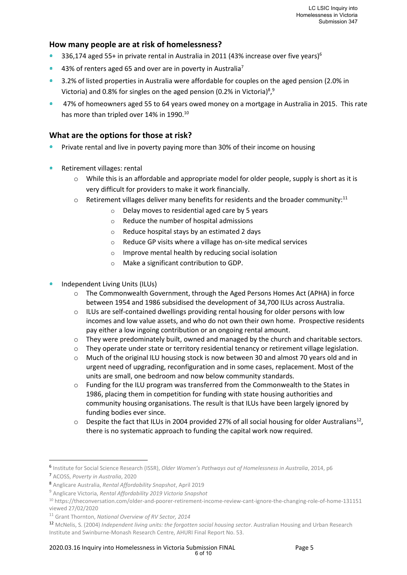#### **How many people are at risk of homelessness?**

- $\hat{\mathbf{n}}$ 336,174 aged 55+ in private rental in Australia in 2011 (43% increase over five years)<sup>6</sup>
- 43% of renters aged 65 and over are in poverty in Australia<sup>7</sup>
- <sup>2</sup> 3.2% of listed properties in Australia were affordable for couples on the aged pension (2.0% in Victoria) and 0.8% for singles on the aged pension (0.2% in Victoria) $8,9$
- <sup>a</sup> 47% of homeowners aged 55 to 64 years owed money on a mortgage in Australia in 2015. This rate has more than tripled over 14% in 1990.<sup>10</sup>

#### **What are the options for those at risk?**

- Private rental and live in poverty paying more than 30% of their income on housing  $\pmb{\hat{\mathbf{n}}}$
- $\hat{\mathbf{n}}$ Retirement villages: rental
	- $\circ$  While this is an affordable and appropriate model for older people, supply is short as it is very difficult for providers to make it work financially.
	- $\circ$  Retirement villages deliver many benefits for residents and the broader community:<sup>11</sup>
		- o Delay moves to residential aged care by 5 years
		- o Reduce the number of hospital admissions
		- o Reduce hospital stays by an estimated 2 days
		- o Reduce GP visits where a village has on-site medical services
		- o Improve mental health by reducing social isolation
		- o Make a significant contribution to GDP.
- Independent Living Units (ILUs)
	- o The Commonwealth Government, through the Aged Persons Homes Act (APHA) in force between 1954 and 1986 subsidised the development of 34,700 ILUs across Australia.
	- $\circ$  ILUs are self-contained dwellings providing rental housing for older persons with low incomes and low value assets, and who do not own their own home. Prospective residents pay either a low ingoing contribution or an ongoing rental amount.
	- $\circ$  They were predominately built, owned and managed by the church and charitable sectors.
	- $\circ$  They operate under state or territory residential tenancy or retirement village legislation.
	- $\circ$  Much of the original ILU housing stock is now between 30 and almost 70 years old and in urgent need of upgrading, reconfiguration and in some cases, replacement. Most of the units are small, one bedroom and now below community standards.
	- $\circ$  Funding for the ILU program was transferred from the Commonwealth to the States in 1986, placing them in competition for funding with state housing authorities and community housing organisations. The result is that ILUs have been largely ignored by funding bodies ever since.
	- $\circ$  Despite the fact that ILUs in 2004 provided 27% of all social housing for older Australians<sup>12</sup>, there is no systematic approach to funding the capital work now required.

<sup>6</sup> Institute for Social Science Research (ISSR), *Older Women's Pathways out of Homelessness in Australia*, 2014, p6 <sup>7</sup> ACOSS, *Poverty in Australia*, 2020

<sup>8</sup> Anglicare Australia, *Rental Affordability Snapshot*, April 2019

<sup>9</sup> Anglicare Victoria, *Rental Affordability 2019 Victoria Snapshot*

<sup>10</sup> https://theconversation.com/older-and-poorer-retirement-income-review-cant-ignore-the-changing-role-of-home-131151 viewed 27/02/2020

<sup>11</sup> Grant Thornton, *National Overview of RV Sector, 2014*

<sup>12</sup> McNelis, S. (2004) *Independent living units: the forgotten social housing sector*. Australian Housing and Urban Research Institute and Swinburne-Monash Research Centre, AHURI Final Report No. 53.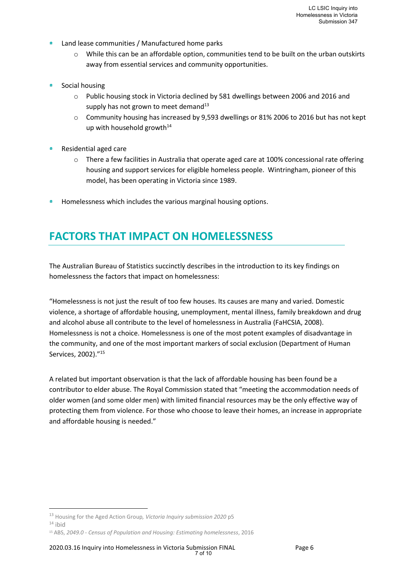- $\hat{\mathbf{n}}$ Land lease communities / Manufactured home parks
	- o While this can be an affordable option, communities tend to be built on the urban outskirts away from essential services and community opportunities.
- $\hat{\mathbf{n}}$ Social housing
	- o Public housing stock in Victoria declined by 581 dwellings between 2006 and 2016 and supply has not grown to meet demand<sup>13</sup>
	- o Community housing has increased by 9,593 dwellings or 81% 2006 to 2016 but has not kept up with household growth $14$
- 查 Residential aged care
	- o There a few facilities in Australia that operate aged care at 100% concessional rate offering housing and support services for eligible homeless people. Wintringham, pioneer of this model, has been operating in Victoria since 1989.
- Homelessness which includes the various marginal housing options.  $\pmb{\hat{\mathbf{n}}}$

### **FACTORS THAT IMPACT ON HOMELESSNESS**

The Australian Bureau of Statistics succinctly describes in the introduction to its key findings on homelessness the factors that impact on homelessness:

"Homelessness is not just the result of too few houses. Its causes are many and varied. Domestic violence, a shortage of affordable housing, unemployment, mental illness, family breakdown and drug and alcohol abuse all contribute to the level of homelessness in Australia (FaHCSIA, 2008). Homelessness is not a choice. Homelessness is one of the most potent examples of disadvantage in the community, and one of the most important markers of social exclusion (Department of Human Services, 2002)." 15

A related but important observation is that the lack of affordable housing has been found be a contributor to elder abuse. The Royal Commission stated that "meeting the accommodation needs of older women (and some older men) with limited financial resources may be the only effective way of protecting them from violence. For those who choose to leave their homes, an increase in appropriate and affordable housing is needed."

<sup>13</sup> Housing for the Aged Action Group*, Victoria Inquiry submission 2020* p5

 $14$  ibid

<sup>15</sup> ABS, *2049.0 - Census of Population and Housing: Estimating homelessness*, 2016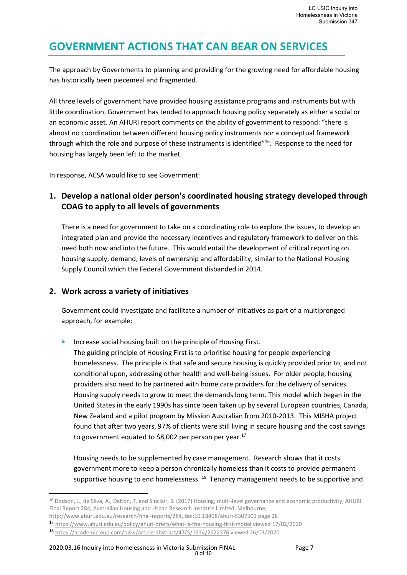### **GOVERNMENT ACTIONS THAT CAN BEAR ON SERVICES**

The approach by Governments to planning and providing for the growing need for affordable housing has historically been piecemeal and fragmented.

All three levels of government have provided housing assistance programs and instruments but with little coordination. Government has tended to approach housing policy separately as either a social or an economic asset. An AHURI report comments on the ability of government to respond: "there is almost no coordination between different housing policy instruments nor a conceptual framework through which the role and purpose of these instruments is identified"<sup>16</sup>. Response to the need for housing has largely been left to the market.

In response, ACSA would like to see Government:

#### **1. Develop a national older person's coordinated housing strategy developed through COAG to apply to all levels of governments**

There is a need for government to take on a coordinating role to explore the issues, to develop an integrated plan and provide the necessary incentives and regulatory framework to deliver on this need both now and into the future. This would entail the development of critical reporting on housing supply, demand, levels of ownership and affordability, similar to the National Housing Supply Council which the Federal Government disbanded in 2014.

#### **2. Work across a variety of initiatives**

Government could investigate and facilitate a number of initiatives as part of a multipronged approach, for example:

 $\triangleq$ Increase social housing built on the principle of Housing First.

The guiding principle of Housing First is to prioritise housing for people experiencing homelessness. The principle is that safe and secure housing is quickly provided prior to, and not conditional upon, addressing other health and well-being issues. For older people, housing providers also need to be partnered with home care providers for the delivery of services. Housing supply needs to grow to meet the demands long term. This model which began in the United States in the early 1990s has since been taken up by several European countries, Canada, New Zealand and a pilot program by Mission Australian from 2010-2013. This MISHA project found that after two years, 97% of clients were still living in secure housing and the cost savings to government equated to \$8,002 per person per year.<sup>17</sup>

Housing needs to be supplemented by case management. Research shows that it costs government more to keep a person chronically homeless than it costs to provide permanent supportive housing to end homelessness. <sup>18</sup> Tenancy management needs to be supportive and

<sup>&</sup>lt;sup>16</sup> Dodson, J., de Silva, A., Dalton, T. and Sinclair, S. (2017) Housing, multi-level governance and economic productivity, AHURI Final Report 284, Australian Housing and Urban Research Institute Limited, Melbourne,

http://www.ahuri.edu.au/research/final-reports/284, doi:10.18408/ahuri-5307501 page 28

<sup>17</sup> <https://www.ahuri.edu.au/policy/ahuri-briefs/what-is-the-housing-first-model> viewed 17/02/2020

<sup>18</sup> <https://academic.oup.com/bjsw/article-abstract/47/5/1534/2622376> viewed 26/03/2020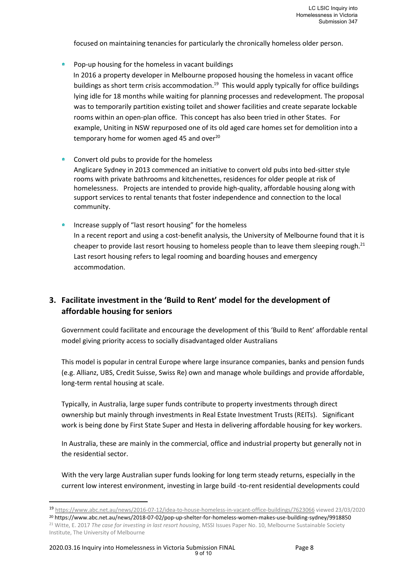focused on maintaining tenancies for particularly the chronically homeless older person.

- $\bullet$ Pop-up housing for the homeless in vacant buildings In 2016 a property developer in Melbourne proposed housing the homeless in vacant office buildings as short term crisis accommodation. 19 This would apply typically for office buildings lying idle for 18 months while waiting for planning processes and redevelopment. The proposal was to temporarily partition existing toilet and shower facilities and create separate lockable rooms within an open-plan office. This concept has also been tried in other States. For example, Uniting in NSW repurposed one of its old aged care homes set for demolition into a temporary home for women aged 45 and over $^{20}$
- Convert old pubs to provide for the homeless Anglicare Sydney in 2013 commenced an initiative to convert old pubs into bed-sitter style rooms with private bathrooms and kitchenettes, residences for older people at risk of homelessness. Projects are intended to provide high-quality, affordable housing along with support services to rental tenants that foster independence and connection to the local community.
- $\hat{\mathbf{n}}$ Increase supply of "last resort housing" for the homeless In a recent report and using a cost-benefit analysis, the University of Melbourne found that it is cheaper to provide last resort housing to homeless people than to leave them sleeping rough.<sup>21</sup> Last resort housing refers to legal rooming and boarding houses and emergency accommodation.

#### **3. Facilitate investment in the 'Build to Rent' model for the development of affordable housing for seniors**

Government could facilitate and encourage the development of this 'Build to Rent' affordable rental model giving priority access to socially disadvantaged older Australians

This model is popular in central Europe where large insurance companies, banks and pension funds (e.g. Allianz, UBS, Credit Suisse, Swiss Re) own and manage whole buildings and provide affordable, long-term rental housing at scale.

Typically, in Australia, large super funds contribute to property investments through direct ownership but mainly through investments in Real Estate Investment Trusts (REITs). Significant work is being done by First State Super and Hesta in delivering affordable housing for key workers.

In Australia, these are mainly in the commercial, office and industrial property but generally not in the residential sector.

With the very large Australian super funds looking for long term steady returns, especially in the current low interest environment, investing in large build -to-rent residential developments could

<sup>19</sup> <https://www.abc.net.au/news/2016-07-12/idea-to-house-homeless-in-vacant-office-buildings/7623066> viewed 23/03/2020

<sup>20</sup> https://www.abc.net.au/news/2018-07-02/pop-up-shelter-for-homeless-women-makes-use-building-sydney/9918850 <sup>21</sup> Witte, E. 2017 *The case for investing in last resort housing*, MSSI Issues Paper No. 10, Melbourne Sustainable Society Institute, The University of Melbourne